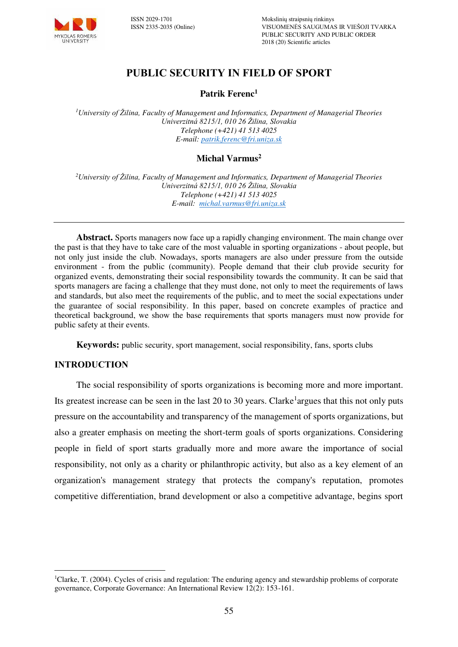

# **PUBLIC SECURITY IN FIELD OF SPORT**

#### **Patrik Ferenc<sup>1</sup>**

*<sup>1</sup>University of Žilina, Faculty of Management and Informatics, Department of Managerial Theories Univerzitná 8215/1, 010 26 Žilina, Slovakia Telephone (+421) 41 513 4025 E-mail[: patrik.ferenc@fri.uniza.sk](mailto:patrik.ferenc@fri.uniza.sk)* 

## **Michal Varmus<sup>2</sup>**

*<sup>2</sup>University of Žilina, Faculty of Management and Informatics, Department of Managerial Theories Univerzitná 8215/1, 010 26 Žilina, Slovakia Telephone (+421) 41 513 4025 E-mail: [michal.varmus@fri.uniza.sk](mailto:michal.varmus@fri.uniza.sk)*

**Abstract.** Sports managers now face up a rapidly changing environment. The main change over the past is that they have to take care of the most valuable in sporting organizations - about people, but not only just inside the club. Nowadays, sports managers are also under pressure from the outside environment - from the public (community). People demand that their club provide security for organized events, demonstrating their social responsibility towards the community. It can be said that sports managers are facing a challenge that they must done, not only to meet the requirements of laws and standards, but also meet the requirements of the public, and to meet the social expectations under the guarantee of social responsibility. In this paper, based on concrete examples of practice and theoretical background, we show the base requirements that sports managers must now provide for public safety at their events.

**Keywords:** public security, sport management, social responsibility, fans, sports clubs

#### **INTRODUCTION**

 $\overline{a}$ 

The social responsibility of sports organizations is becoming more and more important. Its greatest increase can be seen in the last 20 to 30 years. Clarke<sup>1</sup> argues that this not only puts pressure on the accountability and transparency of the management of sports organizations, but also a greater emphasis on meeting the short-term goals of sports organizations. Considering people in field of sport starts gradually more and more aware the importance of social responsibility, not only as a charity or philanthropic activity, but also as a key element of an organization's management strategy that protects the company's reputation, promotes competitive differentiation, brand development or also a competitive advantage, begins sport

<sup>&</sup>lt;sup>1</sup>Clarke, T. (2004). Cycles of crisis and regulation: The enduring agency and stewardship problems of corporate governance, Corporate Governance: An International Review 12(2): 153-161.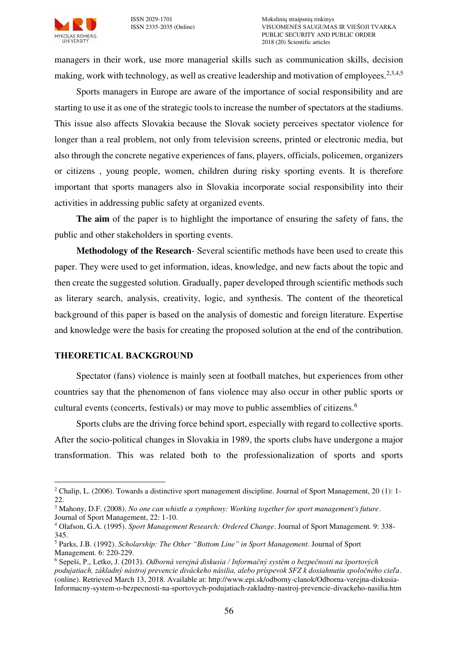

managers in their work, use more managerial skills such as communication skills, decision making, work with technology, as well as creative leadership and motivation of employees.<sup>2,3,4,5</sup>

Sports managers in Europe are aware of the importance of social responsibility and are starting to use it as one of the strategic tools to increase the number of spectators at the stadiums. This issue also affects Slovakia because the Slovak society perceives spectator violence for longer than a real problem, not only from television screens, printed or electronic media, but also through the concrete negative experiences of fans, players, officials, policemen, organizers or citizens , young people, women, children during risky sporting events. It is therefore important that sports managers also in Slovakia incorporate social responsibility into their activities in addressing public safety at organized events.

**The aim** of the paper is to highlight the importance of ensuring the safety of fans, the public and other stakeholders in sporting events.

**Methodology of the Research**- Several scientific methods have been used to create this paper. They were used to get information, ideas, knowledge, and new facts about the topic and then create the suggested solution. Gradually, paper developed through scientific methods such as literary search, analysis, creativity, logic, and synthesis. The content of the theoretical background of this paper is based on the analysis of domestic and foreign literature. Expertise and knowledge were the basis for creating the proposed solution at the end of the contribution.

#### **THEORETICAL BACKGROUND**

Spectator (fans) violence is mainly seen at football matches, but experiences from other countries say that the phenomenon of fans violence may also occur in other public sports or cultural events (concerts, festivals) or may move to public assemblies of citizens.<sup>6</sup>

Sports clubs are the driving force behind sport, especially with regard to collective sports. After the socio-political changes in Slovakia in 1989, the sports clubs have undergone a major transformation. This was related both to the professionalization of sports and sports

 $\overline{a}$  $2$  Chalip, L. (2006). Towards a distinctive sport management discipline. Journal of Sport Management, 20 (1): 1-22.

<sup>3</sup> Mahony, D.F. (2008). *No one can whistle a symphony: Working together for sport management's future*. Journal of Sport Management, 22: 1-10.

<sup>4</sup> Olafson, G.A. (1995). *Sport Management Research: Ordered Change*. Journal of Sport Management. 9: 338- 345.

<sup>5</sup> Parks, J.B. (1992). *Scholarship: The Other "Bottom Line" in Sport Management*. Journal of Sport Management. 6: 220-229.

<sup>6</sup> Sepeši, P., Letko, J. (2013). *Odborná verejná diskusia / Informačný systém o bezpečnosti na športových podujatiach, základný nástroj prevencie diváckeho násilia, alebo príspevok SFZ k dosiahnutiu spoločného cieľa*. (online). Retrieved March 13, 2018. Available at: http://www.epi.sk/odborny-clanok/Odborna-verejna-diskusia-Informacny-system-o-bezpecnosti-na-sportovych-podujatiach-zakladny-nastroj-prevencie-divackeho-nasilia.htm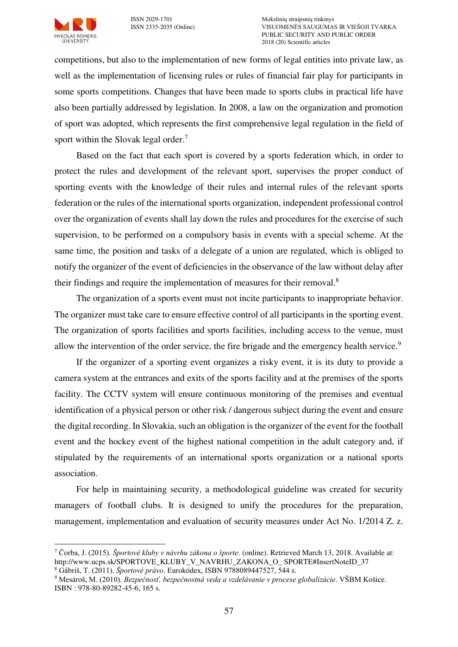ISSN 2029-1701 Mokslinių straipsnių rinkinys VISUOMENĖS SAUGUMAS IR VIEŠOJI TVARKA PUBLIC SECURITY AND PUBLIC ORDER 2018 (20) Scientific articles

competitions, but also to the implementation of new forms of legal entities into private law, as well as the implementation of licensing rules or rules of financial fair play for participants in some sports competitions. Changes that have been made to sports clubs in practical life have also been partially addressed by legislation. In 2008, a law on the organization and promotion of sport was adopted, which represents the first comprehensive legal regulation in the field of sport within the Slovak legal order.<sup>7</sup>

Based on the fact that each sport is covered by a sports federation which, in order to protect the rules and development of the relevant sport, supervises the proper conduct of sporting events with the knowledge of their rules and internal rules of the relevant sports federation or the rules of the international sports organization, independent professional control over the organization of events shall lay down the rules and procedures for the exercise of such supervision, to be performed on a compulsory basis in events with a special scheme. At the same time, the position and tasks of a delegate of a union are regulated, which is obliged to notify the organizer of the event of deficiencies in the observance of the law without delay after their findings and require the implementation of measures for their removal.<sup>8</sup>

The organization of a sports event must not incite participants to inappropriate behavior. The organizer must take care to ensure effective control of all participants in the sporting event. The organization of sports facilities and sports facilities, including access to the venue, must allow the intervention of the order service, the fire brigade and the emergency health service.<sup>9</sup>

If the organizer of a sporting event organizes a risky event, it is its duty to provide a camera system at the entrances and exits of the sports facility and at the premises of the sports facility. The CCTV system will ensure continuous monitoring of the premises and eventual identification of a physical person or other risk / dangerous subject during the event and ensure the digital recording. In Slovakia, such an obligation is the organizer of the event for the football event and the hockey event of the highest national competition in the adult category and, if stipulated by the requirements of an international sports organization or a national sports association.

For help in maintaining security, a methodological guideline was created for security managers of football clubs. It is designed to unify the procedures for the preparation, management, implementation and evaluation of security measures under Act No. 1/2014 Z. z.

 $\overline{a}$ 

<sup>7</sup> Čorba, J. (2015). *Športové kluby v návrhu zákona o športe*. (online). Retrieved March 13, 2018. Available at: http://www.ucps.sk/SPORTOVE\_KLUBY\_V\_NAVRHU\_ZAKONA\_O\_ SPORTE#InsertNoteID\_37

<sup>8</sup> Gábriš, T. (2011). *Športové právo*. Eurokódex, ISBN 9788089447527, 544 s.

<sup>9</sup> Mesároš, M. (2010). *Bezpečnosť, bezpečnostná veda a vzdelávanie v procese globalizácie*. VŠBM Košice. ISBN : 978-80-89282-45-6, 165 s.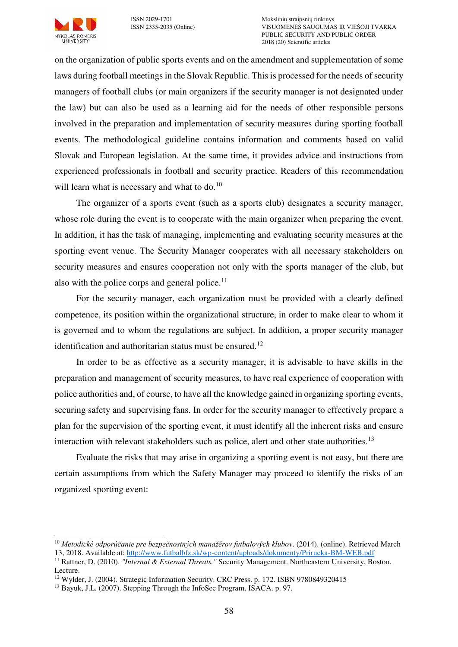

 $\overline{a}$ 

on the organization of public sports events and on the amendment and supplementation of some laws during football meetings in the Slovak Republic. This is processed for the needs of security managers of football clubs (or main organizers if the security manager is not designated under the law) but can also be used as a learning aid for the needs of other responsible persons involved in the preparation and implementation of security measures during sporting football events. The methodological guideline contains information and comments based on valid Slovak and European legislation. At the same time, it provides advice and instructions from experienced professionals in football and security practice. Readers of this recommendation will learn what is necessary and what to  $do.<sup>10</sup>$ 

The organizer of a sports event (such as a sports club) designates a security manager, whose role during the event is to cooperate with the main organizer when preparing the event. In addition, it has the task of managing, implementing and evaluating security measures at the sporting event venue. The Security Manager cooperates with all necessary stakeholders on security measures and ensures cooperation not only with the sports manager of the club, but also with the police corps and general police. $11$ 

For the security manager, each organization must be provided with a clearly defined competence, its position within the organizational structure, in order to make clear to whom it is governed and to whom the regulations are subject. In addition, a proper security manager identification and authoritarian status must be ensured.<sup>12</sup>

In order to be as effective as a security manager, it is advisable to have skills in the preparation and management of security measures, to have real experience of cooperation with police authorities and, of course, to have all the knowledge gained in organizing sporting events, securing safety and supervising fans. In order for the security manager to effectively prepare a plan for the supervision of the sporting event, it must identify all the inherent risks and ensure interaction with relevant stakeholders such as police, alert and other state authorities.<sup>13</sup>

Evaluate the risks that may arise in organizing a sporting event is not easy, but there are certain assumptions from which the Safety Manager may proceed to identify the risks of an organized sporting event:

<sup>10</sup> *Metodické odporúčanie pre bezpečnostných manažérov futbalových klubov*. (2014). (online). Retrieved March 13, 2018. Available at:<http://www.futbalbfz.sk/wp-content/uploads/dokumenty/Prirucka-BM-WEB.pdf> <sup>11</sup> Rattner, D. (2010). *"Internal & External Threats."* Security Management. Northeastern University, Boston. Lecture.

<sup>&</sup>lt;sup>12</sup> Wylder, J. (2004). Strategic Information Security. CRC Press. p. 172. ISBN 9780849320415

<sup>&</sup>lt;sup>13</sup> Bayuk, J.L. (2007). Stepping Through the InfoSec Program. ISACA. p. 97.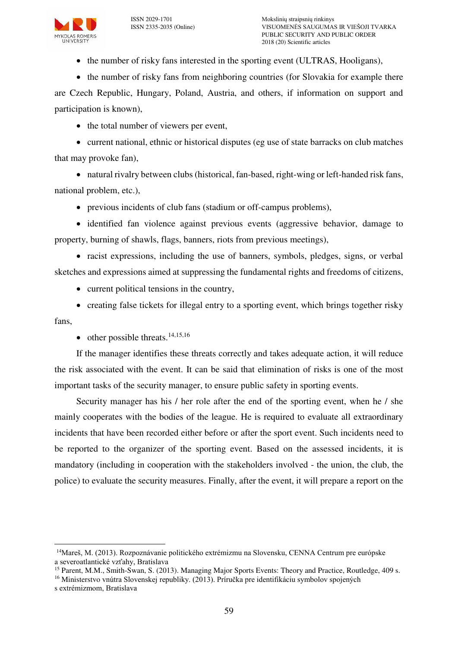

• the number of risky fans interested in the sporting event (ULTRAS, Hooligans),

• the number of risky fans from neighboring countries (for Slovakia for example there

are Czech Republic, Hungary, Poland, Austria, and others, if information on support and participation is known),

• the total number of viewers per event,

 current national, ethnic or historical disputes (eg use of state barracks on club matches that may provoke fan),

 natural rivalry between clubs (historical, fan-based, right-wing or left-handed risk fans, national problem, etc.),

previous incidents of club fans (stadium or off-campus problems),

• identified fan violence against previous events (aggressive behavior, damage to property, burning of shawls, flags, banners, riots from previous meetings),

 racist expressions, including the use of banners, symbols, pledges, signs, or verbal sketches and expressions aimed at suppressing the fundamental rights and freedoms of citizens,

• current political tensions in the country,

• creating false tickets for illegal entry to a sporting event, which brings together risky fans,

 $\bullet$  other possible threats.<sup>14,15,16</sup>

If the manager identifies these threats correctly and takes adequate action, it will reduce the risk associated with the event. It can be said that elimination of risks is one of the most important tasks of the security manager, to ensure public safety in sporting events.

Security manager has his / her role after the end of the sporting event, when he / she mainly cooperates with the bodies of the league. He is required to evaluate all extraordinary incidents that have been recorded either before or after the sport event. Such incidents need to be reported to the organizer of the sporting event. Based on the assessed incidents, it is mandatory (including in cooperation with the stakeholders involved - the union, the club, the police) to evaluate the security measures. Finally, after the event, it will prepare a report on the

 $\overline{a}$ 

<sup>14</sup>Mareš, M. (2013). Rozpoznávanie politického extrémizmu na Slovensku, CENNA Centrum pre európske a severoatlantické vzťahy, Bratislava

<sup>&</sup>lt;sup>15</sup> Parent, M.M., Smith-Swan, S. (2013). Managing Major Sports Events: Theory and Practice, Routledge, 409 s.

<sup>&</sup>lt;sup>16</sup> Ministerstvo vnútra Slovenskej republiky. (2013). Príručka pre identifikáciu symbolov spojených

s extrémizmom, Bratislava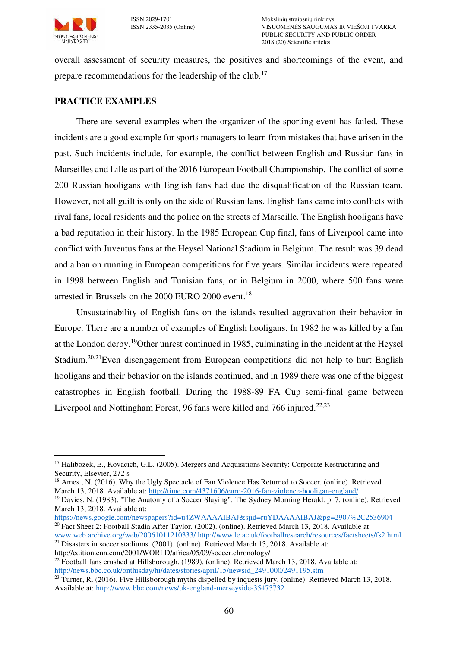

overall assessment of security measures, the positives and shortcomings of the event, and prepare recommendations for the leadership of the club.<sup>17</sup>

## **PRACTICE EXAMPLES**

There are several examples when the organizer of the sporting event has failed. These incidents are a good example for sports managers to learn from mistakes that have arisen in the past. Such incidents include, for example, the conflict between English and Russian fans in Marseilles and Lille as part of the 2016 European Football Championship. The conflict of some 200 Russian hooligans with English fans had due the disqualification of the Russian team. However, not all guilt is only on the side of Russian fans. English fans came into conflicts with rival fans, local residents and the police on the streets of Marseille. The English hooligans have a bad reputation in their history. In the 1985 European Cup final, fans of Liverpool came into conflict with Juventus fans at the Heysel National Stadium in Belgium. The result was 39 dead and a ban on running in European competitions for five years. Similar incidents were repeated in 1998 between English and Tunisian fans, or in Belgium in 2000, where 500 fans were arrested in Brussels on the 2000 EURO 2000 event.<sup>18</sup>

Unsustainability of English fans on the islands resulted aggravation their behavior in Europe. There are a number of examples of English hooligans. In 1982 he was killed by a fan at the London derby.<sup>19</sup>Other unrest continued in 1985, culminating in the incident at the Heysel Stadium.<sup>20,21</sup>Even disengagement from European competitions did not help to hurt English hooligans and their behavior on the islands continued, and in 1989 there was one of the biggest catastrophes in English football. During the 1988-89 FA Cup semi-final game between Liverpool and Nottingham Forest, 96 fans were killed and 766 injured.<sup>22,23</sup>

 $\overline{a}$ <sup>17</sup> Halibozek, E., Kovacich, G.L. (2005). Mergers and Acquisitions Security: Corporate Restructuring and Security, Elsevier, 272 s

<sup>&</sup>lt;sup>18</sup> Ames., N. (2016). Why the Ugly Spectacle of Fan Violence Has Returned to Soccer. (online). Retrieved March 13, 2018. Available at:<http://time.com/4371606/euro-2016-fan-violence-hooligan-england/>

<sup>&</sup>lt;sup>19</sup> Davies, N. (1983). "The Anatomy of a Soccer Slaying". The Sydney Morning Herald. p. 7. (online). Retrieved March 13, 2018. Available at:

<https://news.google.com/newspapers?id=u4ZWAAAAIBAJ&sjid=ruYDAAAAIBAJ&pg=2907%2C2536904> <sup>20</sup> Fact Sheet 2: Football Stadia After Taylor. (2002). (online). Retrieved March 13, 2018. Available at:

[www.web.archive.org/web/20061011210333/](http://www.web.archive.org/web/20061011210333/) <http://www.le.ac.uk/footballresearch/resources/factsheets/fs2.html>  $21$  Disasters in soccer stadiums. (2001). (online). Retrieved March 13, 2018. Available at:

http://edition.cnn.com/2001/WORLD/africa/05/09/soccer.chronology/

<sup>&</sup>lt;sup>22</sup> Football fans crushed at Hillsborough. (1989). (online). Retrieved March 13, 2018. Available at: [http://news.bbc.co.uk/onthisday/hi/dates/stories/april/15/newsid\\_2491000/2491195.stm](http://news.bbc.co.uk/onthisday/hi/dates/stories/april/15/newsid_2491000/2491195.stm) 

 $^{23}$  Turner, R. (2016). Five Hillsborough myths dispelled by inquests jury. (online). Retrieved March 13, 2018. Available at:<http://www.bbc.com/news/uk-england-merseyside-35473732>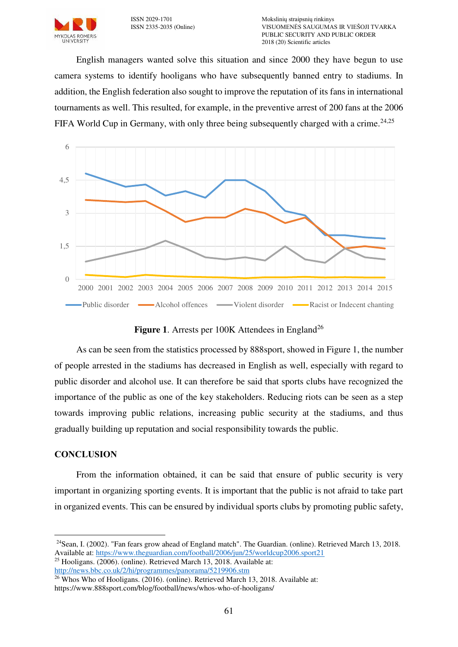English managers wanted solve this situation and since 2000 they have begun to use camera systems to identify hooligans who have subsequently banned entry to stadiums. In addition, the English federation also sought to improve the reputation of its fans in international tournaments as well. This resulted, for example, in the preventive arrest of 200 fans at the 2006 FIFA World Cup in Germany, with only three being subsequently charged with a crime.<sup>24,25</sup>



**Figure 1.** Arrests per 100K Attendees in England<sup>26</sup>

As can be seen from the statistics processed by 888sport, showed in Figure 1, the number of people arrested in the stadiums has decreased in English as well, especially with regard to public disorder and alcohol use. It can therefore be said that sports clubs have recognized the importance of the public as one of the key stakeholders. Reducing riots can be seen as a step towards improving public relations, increasing public security at the stadiums, and thus gradually building up reputation and social responsibility towards the public.

## **CONCLUSION**

 $\overline{a}$ 

From the information obtained, it can be said that ensure of public security is very important in organizing sporting events. It is important that the public is not afraid to take part in organized events. This can be ensured by individual sports clubs by promoting public safety,

<sup>24</sup>Sean, I. (2002). "Fan fears grow ahead of England match". The Guardian. (online). Retrieved March 13, 2018. Available at:<https://www.theguardian.com/football/2006/jun/25/worldcup2006.sport21>

<sup>25</sup> Hooligans. (2006). (online). Retrieved March 13, 2018. Available at: <http://news.bbc.co.uk/2/hi/programmes/panorama/5219906.stm>

<sup>26</sup> Whos Who of Hooligans. (2016). (online). Retrieved March 13, 2018. Available at: https://www.888sport.com/blog/football/news/whos-who-of-hooligans/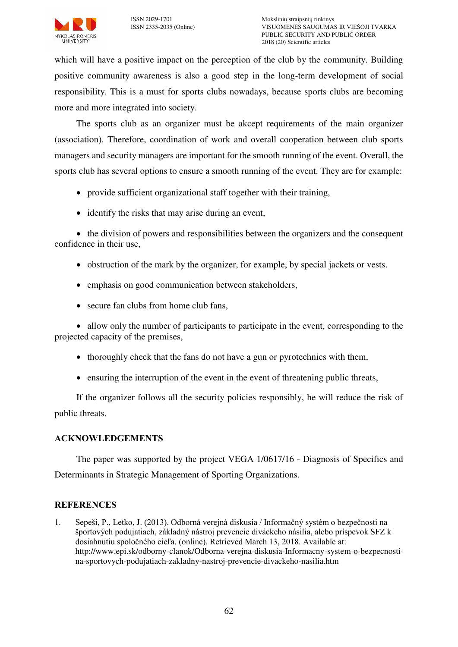

which will have a positive impact on the perception of the club by the community. Building positive community awareness is also a good step in the long-term development of social responsibility. This is a must for sports clubs nowadays, because sports clubs are becoming more and more integrated into society.

The sports club as an organizer must be akcept requirements of the main organizer (association). Therefore, coordination of work and overall cooperation between club sports managers and security managers are important for the smooth running of the event. Overall, the sports club has several options to ensure a smooth running of the event. They are for example:

- provide sufficient organizational staff together with their training,
- identify the risks that may arise during an event,

• the division of powers and responsibilities between the organizers and the consequent confidence in their use,

- obstruction of the mark by the organizer, for example, by special jackets or vests.
- emphasis on good communication between stakeholders,
- secure fan clubs from home club fans,

 allow only the number of participants to participate in the event, corresponding to the projected capacity of the premises,

- thoroughly check that the fans do not have a gun or pyrotechnics with them,
- ensuring the interruption of the event in the event of threatening public threats,

If the organizer follows all the security policies responsibly, he will reduce the risk of public threats.

## **ACKNOWLEDGEMENTS**

The paper was supported by the project VEGA 1/0617/16 - Diagnosis of Specifics and Determinants in Strategic Management of Sporting Organizations.

## **REFERENCES**

1. Sepeši, P., Letko, J. (2013). Odborná verejná diskusia / Informačný systém o bezpečnosti na športových podujatiach, základný nástroj prevencie diváckeho násilia, alebo príspevok SFZ k dosiahnutiu spoločného cieľa. (online). Retrieved March 13, 2018. Available at: http://www.epi.sk/odborny-clanok/Odborna-verejna-diskusia-Informacny-system-o-bezpecnostina-sportovych-podujatiach-zakladny-nastroj-prevencie-divackeho-nasilia.htm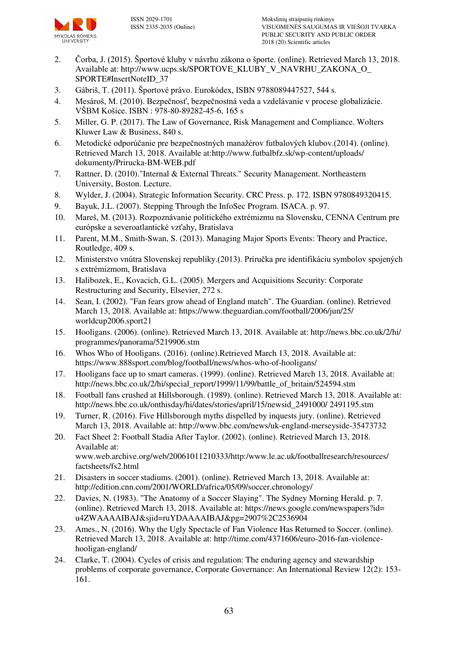

- 2. Čorba, J. (2015). Športové kluby v návrhu zákona o športe. (online). Retrieved March 13, 2018. Available at: http://www.ucps.sk/SPORTOVE\_KLUBY\_V\_NAVRHU\_ZAKONA\_O\_ SPORTE#InsertNoteID\_37
- 3. Gábriš, T. (2011). Športové právo. Eurokódex, ISBN 9788089447527, 544 s.
- 4. Mesároš, M. (2010). Bezpečnosť, bezpečnostná veda a vzdelávanie v procese globalizácie. VŠBM Košice. ISBN : 978-80-89282-45-6, 165 s
- 5. Miller, G. P. (2017). The Law of Governance, Risk Management and Compliance. Wolters Kluwer Law & Business, 840 s.
- 6. Metodické odporúčanie pre bezpečnostných manažérov futbalových klubov.(2014). (online). Retrieved March 13, 2018. Available at:http://www.futbalbfz.sk/wp-content/uploads/ dokumenty/Prirucka-BM-WEB.pdf
- 7. Rattner, D. (2010)."Internal & External Threats." Security Management. Northeastern University, Boston. Lecture.
- 8. Wylder, J. (2004). Strategic Information Security. CRC Press. p. 172. ISBN 9780849320415.
- 9. Bayuk, J.L. (2007). Stepping Through the InfoSec Program. ISACA. p. 97.
- 10. Mareš, M. (2013). Rozpoznávanie politického extrémizmu na Slovensku, CENNA Centrum pre európske a severoatlantické vzťahy, Bratislava
- 11. Parent, M.M., Smith-Swan, S. (2013). Managing Major Sports Events: Theory and Practice, Routledge, 409 s.
- 12. Ministerstvo vnútra Slovenskej republiky.(2013). Príručka pre identifikáciu symbolov spojených s extrémizmom, Bratislava
- 13. Halibozek, E., Kovacich, G.L. (2005). Mergers and Acquisitions Security: Corporate Restructuring and Security, Elsevier, 272 s.
- 14. Sean, I. (2002)[. "Fan fears grow ahead of England match".](http://football.guardian.co.uk/worldcup2006/story/0,,1805689,00.html) The Guardian. (online). Retrieved March 13, 2018. Available at: https://www.theguardian.com/football/2006/jun/25/ worldcup2006.sport21
- 15. Hooligans. (2006). (online). Retrieved March 13, 2018. Available at: http://news.bbc.co.uk/2/hi/ programmes/panorama/5219906.stm
- 16. Whos Who of Hooligans. (2016). (online).Retrieved March 13, 2018. Available at: <https://www.888sport.com/blog/football/news/whos-who-of-hooligans/>
- 17. Hooligans face up to smart cameras. (1999). (online). Retrieved March 13, 2018. Available at: http://news.bbc.co.uk/2/hi/special\_report/1999/11/99/battle\_of\_britain/524594.stm
- 18. Football fans crushed at Hillsborough. (1989). (online). Retrieved March 13, 2018. Available at: http://news.bbc.co.uk/onthisday/hi/dates/stories/april/15/newsid\_2491000/ 2491195.stm
- 19. Turner, R. (2016). Five Hillsborough myths dispelled by inquests jury. (online). Retrieved March 13, 2018. Available at: http://www.bbc.com/news/uk-england-merseyside-35473732
- 20. Fact Sheet 2: Football Stadia After Taylor. (2002). (online). Retrieved March 13, 2018. Available at: www.web.archive.org/web/20061011210333/http:/www.le.ac.uk/footballresearch/resources/ factsheets/fs2.html
- 21. Disasters in soccer stadiums. (2001). (online). Retrieved March 13, 2018. Available at: http://edition.cnn.com/2001/WORLD/africa/05/09/soccer.chronology/
- 22. [Davies, N.](https://en.wikipedia.org/wiki/Nick_Davies) (1983). ["The Anatomy of a Soccer Slaying".](https://news.google.com/newspapers?id=u4ZWAAAAIBAJ&sjid=ruYDAAAAIBAJ&pg=2907%2C2536904) The Sydney Morning Herald. p. 7. (online). Retrieved March 13, 2018. Available at: https://news.google.com/newspapers?id= u4ZWAAAAIBAJ&sjid=ruYDAAAAIBAJ&pg=2907%2C2536904
- 23. Ames., N. (2016). Why the Ugly Spectacle of Fan Violence Has Returned to Soccer. (online). Retrieved March 13, 2018. Available at: http://time.com/4371606/euro-2016-fan-violencehooligan-england/
- 24. Clarke, T. (2004). Cycles of crisis and regulation: The enduring agency and stewardship problems of corporate governance, Corporate Governance: An International Review 12(2): 153- 161.